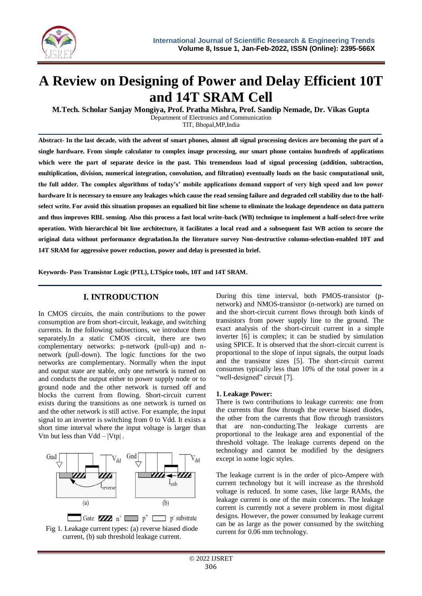

# **A Review on Designing of Power and Delay Efficient 10T and 14T SRAM Cell**

**M.Tech. Scholar Sanjay Mongiya, Prof. Pratha Mishra, Prof. Sandip Nemade, Dr. Vikas Gupta** Department of Electronics and Communication

TIT, Bhopal,MP,India

**Abstract- In the last decade, with the advent of smart phones, almost all signal processing devices are becoming the part of a single hardware. From simple calculator to complex image processing, our smart phone contains hundreds of applications which were the part of separate device in the past. This tremendous load of signal processing (addition, subtraction, multiplication, division, numerical integration, convolution, and filtration) eventually loads on the basic computational unit, the full adder. The complex algorithms of today's' mobile applications demand support of very high speed and low power hardware It is necessary to ensure any leakages which cause the read sensing failure and degraded cell stability due to the halfselect write. For avoid this situation proposes an equalized bit line scheme to eliminate the leakage dependence on data pattern and thus improves RBL sensing. Also this process a fast local write-back (WB) technique to implement a half-select-free write operation. With hierarchical bit line architecture, it facilitates a local read and a subsequent fast WB action to secure the original data without performance degradation.In the literature survey Non-destructive column-selection-enabled 10T and 14T SRAM for aggressive power reduction, power and delay is presented in brief.**

**Keywords- Pass Transistor Logic (PTL), LTSpice tools, 10T and 14T SRAM.**

## **I. INTRODUCTION**

In CMOS circuits, the main contributions to the power consumption are from short-circuit, leakage, and switching currents. In the following subsections, we introduce them separately.In a static CMOS circuit, there are two complementary networks: p-network (pull-up) and nnetwork (pull-down). The logic functions for the two networks are complementary. Normally when the input and output state are stable, only one network is turned on and conducts the output either to power supply node or to ground node and the other network is turned off and blocks the current from flowing. Short-circuit current exists during the transitions as one network is turned on and the other network is still active. For example, the input signal to an inverter is switching from 0 to Vdd. It exists a short time interval where the input voltage is larger than Vtn but less than  $Vdd - |Vtp|$ .





During this time interval, both PMOS-transistor (pnetwork) and NMOS-transistor (n-network) are turned on and the short-circuit current flows through both kinds of transistors from power supply line to the ground. The exact analysis of the short-circuit current in a simple inverter [6] is complex; it can be studied by simulation using SPICE. It is observed that the short-circuit current is proportional to the slope of input signals, the output loads and the transistor sizes [5]. The short-circuit current consumes typically less than 10% of the total power in a "well-designed" circuit [7].

#### **1. Leakage Power:**

There is two contributions to leakage currents: one from the currents that flow through the reverse biased diodes, the other from the currents that flow through transistors that are non-conducting.The leakage currents are proportional to the leakage area and exponential of the threshold voltage. The leakage currents depend on the technology and cannot be modified by the designers except in some logic styles.

The leakage current is in the order of pico-Ampere with current technology but it will increase as the threshold voltage is reduced. In some cases, like large RAMs, the leakage current is one of the main concerns. The leakage current is currently not a severe problem in most digital designs. However, the power consumed by leakage current can be as large as the power consumed by the switching current for 0.06 mm technology.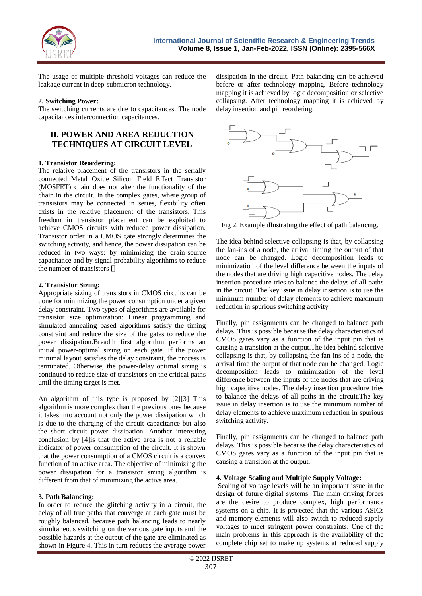

The usage of multiple threshold voltages can reduce the leakage current in deep-submicron technology.

#### **2. Switching Power:**

The switching currents are due to capacitances. The node capacitances interconnection capacitances.

# **II. POWER AND AREA REDUCTION TECHNIQUES AT CIRCUIT LEVEL**

#### **1. Transistor Reordering:**

The relative placement of the transistors in the serially connected Metal Oxide Silicon Field Effect Transistor (MOSFET) chain does not alter the functionality of the chain in the circuit. In the complex gates, where group of transistors may be connected in series, flexibility often exists in the relative placement of the transistors. This freedom in transistor placement can be exploited to achieve CMOS circuits with reduced power dissipation. Transistor order in a CMOS gate strongly determines the switching activity, and hence, the power dissipation can be reduced in two ways: by minimizing the drain-source capacitance and by signal probability algorithms to reduce the number of transistors []

#### **2. Transistor Sizing:**

Appropriate sizing of transistors in CMOS circuits can be done for minimizing the power consumption under a given delay constraint. Two types of algorithms are available for transistor size optimization: Linear programming and simulated annealing based algorithms satisfy the timing constraint and reduce the size of the gates to reduce the power dissipation.Breadth first algorithm performs an initial power-optimal sizing on each gate. If the power minimal layout satisfies the delay constraint, the process is terminated. Otherwise, the power-delay optimal sizing is continued to reduce size of transistors on the critical paths until the timing target is met.

An algorithm of this type is proposed by [2][3] This algorithm is more complex than the previous ones because it takes into account not only the power dissipation which is due to the charging of the circuit capacitance but also the short circuit power dissipation. Another interesting conclusion by [4]is that the active area is not a reliable indicator of power consumption of the circuit. It is shown that the power consumption of a CMOS circuit is a convex function of an active area. The objective of minimizing the power dissipation for a transistor sizing algorithm is different from that of minimizing the active area.

## **3. Path Balancing:**

In order to reduce the glitching activity in a circuit, the delay of all true paths that converge at each gate must be roughly balanced, because path balancing leads to nearly simultaneous switching on the various gate inputs and the possible hazards at the output of the gate are eliminated as shown in Figure 4. This in turn reduces the average power dissipation in the circuit. Path balancing can be achieved before or after technology mapping. Before technology mapping it is achieved by logic decomposition or selective collapsing. After technology mapping it is achieved by delay insertion and pin reordering.



Fig 2. Example illustrating the effect of path balancing.

The idea behind selective collapsing is that, by collapsing the fan-ins of a node, the arrival timing the output of that node can be changed. Logic decomposition leads to minimization of the level difference between the inputs of the nodes that are driving high capacitive nodes. The delay insertion procedure tries to balance the delays of all paths in the circuit. The key issue in delay insertion is to use the minimum number of delay elements to achieve maximum reduction in spurious switching activity.

Finally, pin assignments can be changed to balance path delays. This is possible because the delay characteristics of CMOS gates vary as a function of the input pin that is causing a transition at the output.The idea behind selective collapsing is that, by collapsing the fan-ins of a node, the arrival time the output of that node can be changed. Logic decomposition leads to minimization of the level difference between the inputs of the nodes that are driving high capacitive nodes. The delay insertion procedure tries to balance the delays of all paths in the circuit.The key issue in delay insertion is to use the minimum number of delay elements to achieve maximum reduction in spurious switching activity.

Finally, pin assignments can be changed to balance path delays. This is possible because the delay characteristics of CMOS gates vary as a function of the input pin that is causing a transition at the output.

## **4. Voltage Scaling and Multiple Supply Voltage:**

Scaling of voltage levels will be an important issue in the design of future digital systems. The main driving forces are the desire to produce complex, high performance systems on a chip. It is projected that the various ASICs and memory elements will also switch to reduced supply voltages to meet stringent power constraints. One of the main problems in this approach is the availability of the complete chip set to make up systems at reduced supply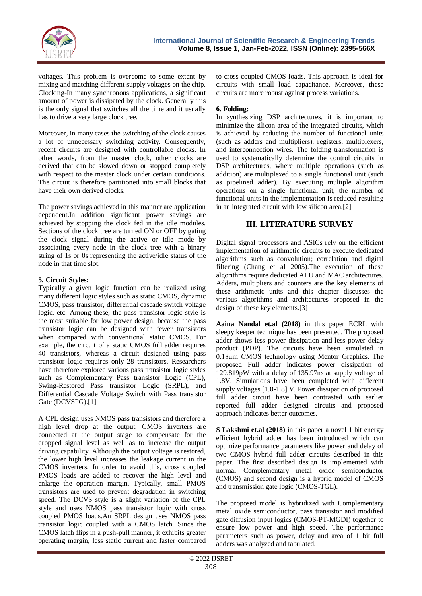

voltages. This problem is overcome to some extent by mixing and matching different supply voltages on the chip. Clocking-In many synchronous applications, a significant amount of power is dissipated by the clock. Generally this is the only signal that switches all the time and it usually has to drive a very large clock tree.

Moreover, in many cases the switching of the clock causes a lot of unnecessary switching activity. Consequently, recent circuits are designed with controllable clocks. In other words, from the master clock, other clocks are derived that can be slowed down or stopped completely with respect to the master clock under certain conditions. The circuit is therefore partitioned into small blocks that have their own derived clocks.

The power savings achieved in this manner are application dependent.In addition significant power savings are achieved by stopping the clock fed in the idle modules. Sections of the clock tree are turned ON or OFF by gating the clock signal during the active or idle mode by associating every node in the clock tree with a binary string of 1s or 0s representing the active/idle status of the node in that time slot.

#### **5. Circuit Styles:**

Typically a given logic function can be realized using many different logic styles such as static CMOS, dynamic CMOS, pass transistor, differential cascade switch voltage logic, etc. Among these, the pass transistor logic style is the most suitable for low power design, because the pass transistor logic can be designed with fewer transistors when compared with conventional static CMOS. For example, the circuit of a static CMOS full adder requires 40 transistors, whereas a circuit designed using pass transistor logic requires only 28 transistors. Researchers have therefore explored various pass transistor logic styles such as Complementary Pass transistor Logic (CPL), Swing-Restored Pass transistor Logic (SRPL), and Differential Cascade Voltage Switch with Pass transistor Gate (DCVSPG).[1]

A CPL design uses NMOS pass transistors and therefore a high level drop at the output. CMOS inverters are connected at the output stage to compensate for the dropped signal level as well as to increase the output driving capability. Although the output voltage is restored, the lower high level increases the leakage current in the CMOS inverters. In order to avoid this, cross coupled PMOS loads are added to recover the high level and enlarge the operation margin. Typically, small PMOS transistors are used to prevent degradation in switching speed. The DCVS style is a slight variation of the CPL style and uses NMOS pass transistor logic with cross coupled PMOS loads.An SRPL design uses NMOS pass transistor logic coupled with a CMOS latch. Since the CMOS latch flips in a push-pull manner, it exhibits greater operating margin, less static current and faster compared

to cross-coupled CMOS loads. This approach is ideal for circuits with small load capacitance. Moreover, these circuits are more robust against process variations.

### **6. Folding:**

In synthesizing DSP architectures, it is important to minimize the silicon area of the integrated circuits, which is achieved by reducing the number of functional units (such as adders and multipliers), registers, multiplexers, and interconnection wires. The folding transformation is used to systematically determine the control circuits in DSP architectures, where multiple operations (such as addition) are multiplexed to a single functional unit (such as pipelined adder). By executing multiple algorithm operations on a single functional unit, the number of functional units in the implementation is reduced resulting in an integrated circuit with low silicon area.[2]

# **III. LITERATURE SURVEY**

Digital signal processors and ASICs rely on the efficient implementation of arithmetic circuits to execute dedicated algorithms such as convolution; correlation and digital filtering (Chang et al 2005).The execution of these algorithms require dedicated ALU and MAC architectures. Adders, multipliers and counters are the key elements of these arithmetic units and this chapter discusses the various algorithms and architectures proposed in the design of these key elements.[3]

**Aaina Nandal et.al (2018)** in this paper ECRL with sleepy keeper technique has been presented. The proposed adder shows less power dissipation and less power delay product (PDP). The circuits have been simulated in 0.18μm CMOS technology using Mentor Graphics. The proposed Full adder indicates power dissipation of 129.819pW with a delay of 135.97ns at supply voltage of 1.8V. Simulations have been completed with different supply voltages [1.0-1.8] V. Power dissipation of proposed full adder circuit have been contrasted with earlier reported full adder designed circuits and proposed approach indicates better outcomes.

**S Lakshmi et.al (2018)** in this paper a novel 1 bit energy efficient hybrid adder has been introduced which can optimize performance parameters like power and delay of two CMOS hybrid full adder circuits described in this paper. The first described design is implemented with normal Complementary metal oxide semiconductor (CMOS) and second design is a hybrid model of CMOS and transmission gate logic (CMOS-TGL).

The proposed model is hybridized with Complementary metal oxide semiconductor, pass transistor and modified gate diffusion input logics (CMOS-PT-MGDI) together to ensure low power and high speed. The performance parameters such as power, delay and area of 1 bit full adders was analyzed and tabulated.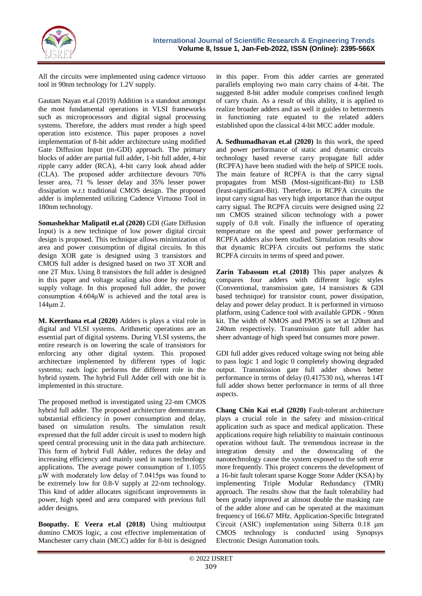

All the circuits were implemented using cadence virtuoso tool in 90nm technology for 1.2V supply.

Gautam Nayan et.al (2019) Addition is a standout amongst the most fundamental operations in VLSI frameworks such as microprocessors and digital signal processing systems. Therefore, the adders must render a high speed operation into existence. This paper proposes a novel implementation of 8-bit adder architecture using modified Gate Diffusion Input (m-GDI) approach. The primary blocks of adder are partial full adder, 1-bit full adder, 4-bit ripple carry adder (RCA), 4-bit carry look ahead adder (CLA). The proposed adder architecture devours 70% lesser area, 71 % lesser delay and 35% lesser power dissipation w.r.t traditional CMOS design. The proposed adder is implemented utilizing Cadence Virtuoso Tool in 180nm technology.

**Somashekhar Malipatil et.al (2020)** GDI (Gate Diffusion Input) is a new technique of low power digital circuit design is proposed. This technique allows minimization of area and power consumption of digital circuits. In this design XOR gate is designed using 3 transistors and CMOS full adder is designed based on two 3T XOR and one 2T Mux. Using 8 transistors the full adder is designed in this paper and voltage scaling also done by reducing supply voltage. In this proposed full adder, the power consumption 4.604μW is achieved and the total area is 144μm 2.

**M. Keerthana et.al (2020)** Adders is plays a vital role in digital and VLSI systems. Arithmetic operations are an essential part of digital systems. During VLSI systems, the entire research is on lowering the scale of transistors for enforcing any other digital system. This proposed architecture implemented by different types of logic systems; each logic performs the different role in the hybrid system. The hybrid Full Adder cell with one bit is implemented in this structure.

The proposed method is investigated using 22-nm CMOS hybrid full adder. The proposed architecture demonstrates substantial efficiency in power consumption and delay, based on simulation results. The simulation result expressed that the full adder circuit is used to modern high speed central processing unit in the data path architecture. This form of hybrid Full Adder, reduces the delay and increasing efficiency and mainly used in nano technology applications. The average power consumption of 1.1055 μW with moderately low delay of 7.0415ps was found to be extremely low for 0.8-V supply at 22-nm technology. This kind of adder allocates significant improvements in power, high speed and area compared with previous full adder designs.

**Boopathy. E Veera et.al (2018)** Using multioutput domino CMOS logic, a cost effective implementation of Manchester carry chain (MCC) adder for 8-bit is designed in this paper. From this adder carries are generated parallels employing two main carry chains of 4-bit. The suggested 8-bit adder module comprises confined length of carry chain. As a result of this ability, it is applied to realize broader adders and as well it guides to betterments in functioning rate equated to the related adders established upon the classical 4-bit MCC adder module.

**A. Sedhumadhavan et.al (2020)** In this work, the speed and power performance of static and dynamic circuits technology based reverse carry propagate full adder (RCPFA) have been studied with the help of SPICE tools. The main feature of RCPFA is that the carry signal propagates from MSB (Most-significant-Bit) to LSB (least-significant-Bit). Therefore, in RCPFA circuits the input carry signal has very high importance than the output carry signal. The RCPFA circuits were designed using 22 nm CMOS strained silicon technology with a power supply of 0.8 volt. Finally the influence of operating temperature on the speed and power performance of RCPFA adders also been studied. Simulation results show that dynamic RCPFA circuits out performs the static RCPFA circuits in terms of speed and power.

**Zarin Tabassum et.al (2018)** This paper analyzes & compares four adders with different logic styles (Conventional, transmission gate, 14 transistors & GDI based technique) for transistor count, power dissipation, delay and power delay product. It is performed in virtuoso platform, using Cadence tool with available GPDK - 90nm kit. The width of NMOS and PMOS is set at 120nm and 240nm respectively. Transmission gate full adder has sheer advantage of high speed but consumes more power.

GDI full adder gives reduced voltage swing not being able to pass logic 1 and logic 0 completely showing degraded output. Transmission gate full adder shows better performance in terms of delay (0.417530 ns), whereas 14T full adder shows better performance in terms of all three aspects.

**Chang Chin Kai et.al (2020)** Fault-tolerant architecture plays a crucial role in the safety and mission-critical application such as space and medical application. These applications require high reliability to maintain continuous operation without fault. The tremendous increase in the integration density and the downscaling of the nanotechnology cause the system exposed to the soft error more frequently. This project concerns the development of a 16-bit fault tolerant sparse Kogge Stone Adder (KSA) by implementing Triple Modular Redundancy (TMR) approach. The results show that the fault tolerability had been greatly improved at almost double the masking rate of the adder alone and can be operated at the maximum frequency of 166.67 MHz. Application-Specific Integrated Circuit (ASIC) implementation using Silterra 0.18 μm CMOS technology is conducted using Synopsys Electronic Design Automation tools.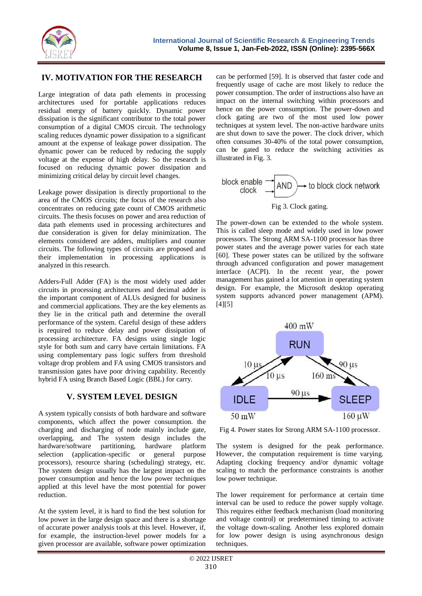

## **IV. MOTIVATION FOR THE RESEARCH**

Large integration of data path elements in processing architectures used for portable applications reduces residual energy of battery quickly. Dynamic power dissipation is the significant contributor to the total power consumption of a digital CMOS circuit. The technology scaling reduces dynamic power dissipation to a significant amount at the expense of leakage power dissipation. The dynamic power can be reduced by reducing the supply voltage at the expense of high delay. So the research is focused on reducing dynamic power dissipation and minimizing critical delay by circuit level changes.

Leakage power dissipation is directly proportional to the area of the CMOS circuits; the focus of the research also concentrates on reducing gate count of CMOS arithmetic circuits. The thesis focuses on power and area reduction of data path elements used in processing architectures and due consideration is given for delay minimization. The elements considered are adders, multipliers and counter circuits. The following types of circuits are proposed and their implementation in processing applications is analyzed in this research.

Adders-Full Adder (FA) is the most widely used adder circuits in processing architectures and decimal adder is the important component of ALUs designed for business and commercial applications. They are the key elements as they lie in the critical path and determine the overall performance of the system. Careful design of these adders is required to reduce delay and power dissipation of processing architecture. FA designs using single logic style for both sum and carry have certain limitations. FA using complementary pass logic suffers from threshold voltage drop problem and FA using CMOS transistors and transmission gates have poor driving capability. Recently hybrid FA using Branch Based Logic (BBL) for carry.

# **V. SYSTEM LEVEL DESIGN**

A system typically consists of both hardware and software components, which affect the power consumption. the charging and discharging of node mainly include gate, overlapping, and The system design includes the hardware/software partitioning, hardware platform selection (application-specific or general purpose processors), resource sharing (scheduling) strategy, etc. The system design usually has the largest impact on the power consumption and hence the low power techniques applied at this level have the most potential for power reduction.

At the system level, it is hard to find the best solution for low power in the large design space and there is a shortage of accurate power analysis tools at this level. However, if, for example, the instruction-level power models for a given processor are available, software power optimization can be performed [59]. It is observed that faster code and frequently usage of cache are most likely to reduce the power consumption. The order of instructions also have an impact on the internal switching within processors and hence on the power consumption. The power-down and clock gating are two of the most used low power techniques at system level. The non-active hardware units are shut down to save the power. The clock driver, which often consumes 30-40% of the total power consumption, can be gated to reduce the switching activities as illustrated in Fig. 3.

block 
$$
block \overrightarrow{Chock}
$$
  $clock$   $AND$   $\rightarrow$  to block  $clock$  network  $Fig 3$ .  $Clock$   $gating$ .

The power-down can be extended to the whole system. This is called sleep mode and widely used in low power processors. The Strong ARM SA-1100 processor has three power states and the average power varies for each state [60]. These power states can be utilized by the software through advanced configuration and power management interface (ACPI). In the recent year, the power management has gained a lot attention in operating system design. For example, the Microsoft desktop operating system supports advanced power management (APM).  $[4] [5]$ 



Fig 4. Power states for Strong ARM SA-1100 processor.

The system is designed for the peak performance. However, the computation requirement is time varying. Adapting clocking frequency and/or dynamic voltage scaling to match the performance constraints is another low power technique.

The lower requirement for performance at certain time interval can be used to reduce the power supply voltage. This requires either feedback mechanism (load monitoring and voltage control) or predetermined timing to activate the voltage down-scaling. Another less explored domain for low power design is using asynchronous design techniques.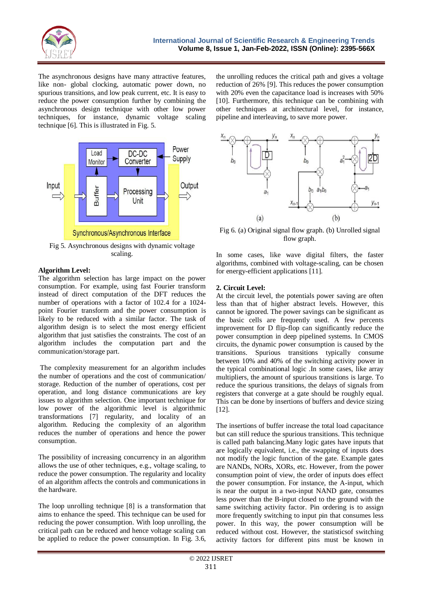

The asynchronous designs have many attractive features, like non- global clocking, automatic power down, no spurious transitions, and low peak current, etc. It is easy to reduce the power consumption further by combining the asynchronous design technique with other low power techniques, for instance, dynamic voltage scaling technique [6]. This is illustrated in Fig. 5.



Fig 5. Asynchronous designs with dynamic voltage scaling.

#### **Algorithm Level:**

The algorithm selection has large impact on the power consumption. For example, using fast Fourier transform instead of direct computation of the DFT reduces the number of operations with a factor of 102.4 for a 1024 point Fourier transform and the power consumption is likely to be reduced with a similar factor. The task of algorithm design is to select the most energy efficient algorithm that just satisfies the constraints. The cost of an algorithm includes the computation part and the communication/storage part.

The complexity measurement for an algorithm includes the number of operations and the cost of communication/ storage. Reduction of the number of operations, cost per operation, and long distance communications are key issues to algorithm selection. One important technique for low power of the algorithmic level is algorithmic transformations [7] regularity, and locality of an algorithm. Reducing the complexity of an algorithm reduces the number of operations and hence the power consumption.

The possibility of increasing concurrency in an algorithm allows the use of other techniques, e.g., voltage scaling, to reduce the power consumption. The regularity and locality of an algorithm affects the controls and communications in the hardware.

The loop unrolling technique [8] is a transformation that aims to enhance the speed. This technique can be used for reducing the power consumption. With loop unrolling, the critical path can be reduced and hence voltage scaling can be applied to reduce the power consumption. In Fig. 3.6, the unrolling reduces the critical path and gives a voltage reduction of 26% [9]. This reduces the power consumption with 20% even the capacitance load is increases with 50% [10]. Furthermore, this technique can be combining with other techniques at architectural level, for instance, pipeline and interleaving, to save more power.



Fig 6. (a) Original signal flow graph. (b) Unrolled signal flow graph.

In some cases, like wave digital filters, the faster algorithms, combined with voltage-scaling, can be chosen for energy-efficient applications [11].

#### **2. Circuit Level:**

At the circuit level, the potentials power saving are often less than that of higher abstract levels. However, this cannot be ignored. The power savings can be significant as the basic cells are frequently used. A few percents improvement for D flip-flop can significantly reduce the power consumption in deep pipelined systems. In CMOS circuits, the dynamic power consumption is caused by the transitions. Spurious transitions typically consume between 10% and 40% of the switching activity power in the typical combinational logic .In some cases, like array multipliers, the amount of spurious transitions is large. To reduce the spurious transitions, the delays of signals from registers that converge at a gate should be roughly equal. This can be done by insertions of buffers and device sizing [12].

The insertions of buffer increase the total load capacitance but can still reduce the spurious transitions. This technique is called path balancing.Many logic gates have inputs that are logically equivalent, i.e., the swapping of inputs does not modify the logic function of the gate. Example gates are NANDs, NORs, XORs, etc. However, from the power consumption point of view, the order of inputs does effect the power consumption. For instance, the A-input, which is near the output in a two-input NAND gate, consumes less power than the B-input closed to the ground with the same switching activity factor. Pin ordering is to assign more frequently switching to input pin that consumes less power. In this way, the power consumption will be reduced without cost. However, the statisticsof switching activity factors for different pins must be known in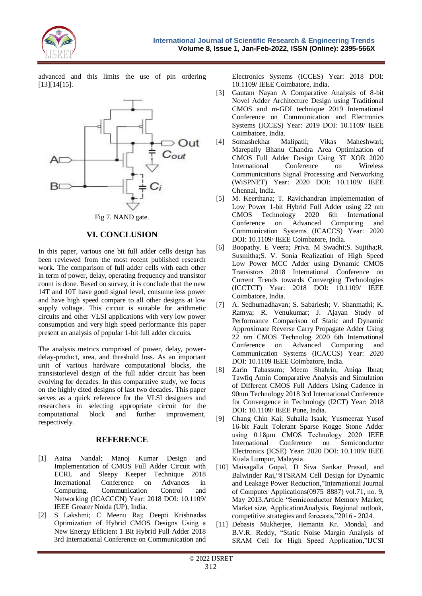

advanced and this limits the use of pin ordering [13][14[15].



# Fig 7. NAND gate.

# **VI. CONCLUSION**

In this paper, various one bit full adder cells design has been reviewed from the most recent published research work. The comparison of full adder cells with each other in term of power, delay, operating frequency and transistor count is done. Based on survey, it is conclude that the new 14T and 10T have good signal level, consume less power and have high speed compare to all other designs at low supply voltage. This circuit is suitable for arithmetic circuits and other VLSI applications with very low power consumption and very high speed performance this paper present an analysis of popular 1-bit full adder circuits.

The analysis metrics comprised of power, delay, powerdelay-product, area, and threshold loss. As an important unit of various hardware computational blocks, the transistorlevel design of the full adder circuit has been evolving for decades. In this comparative study, we focus on the highly cited designs of last two decades. This paper serves as a quick reference for the VLSI designers and researchers in selecting appropriate circuit for the computational block and further improvement, respectively.

## **REFERENCE**

- [1] Aaina Nandal; Manoj Kumar Design and Implementation of CMOS Full Adder Circuit with ECRL and Sleepy Keeper Technique 2018 International Conference on Advances in Computing, Communication Control and Networking (ICACCCN) Year: 2018 DOI: 10.1109/ IEEE Greater Noida (UP), India.
- [2] S Lakshmi; C Meenu Raj; Deepti Krishnadas Optimization of Hybrid CMOS Designs Using a New Energy Efficient 1 Bit Hybrid Full Adder 2018 3rd International Conference on Communication and

Electronics Systems (ICCES) Year: 2018 DOI: 10.1109/ IEEE Coimbatore, India.

- [3] Gautam Nayan A Comparative Analysis of 8-bit Novel Adder Architecture Design using Traditional CMOS and m-GDI technique 2019 International Conference on Communication and Electronics Systems (ICCES) Year: 2019 DOI: 10.1109/ IEEE Coimbatore, India.
- [4] Somashekhar Malipatil; Vikas Maheshwari; Marepally Bhanu Chandra Area Optimization of CMOS Full Adder Design Using 3T XOR 2020 International Conference on Wireless Communications Signal Processing and Networking (WiSPNET) Year: 2020 DOI: 10.1109/ IEEE Chennai, India.
- [5] M. Keerthana; T. Ravichandran Implementation of Low Power 1-bit Hybrid Full Adder using 22 nm CMOS Technology 2020 6th International Conference on Advanced Computing and Communication Systems (ICACCS) Year: 2020 DOI: 10.1109/ IEEE Coimbatore, India.
- [6] Boopathy. E Veera; Priva. M Swadhi;S. Sujitha;R. Susmitha;S. V. Sonia Realization of High Speed Low Power MCC Adder using Dynamic CMOS Transistors 2018 International Conference on Current Trends towards Converging Technologies (ICCTCT) Year: 2018 DOI: 10.1109/ IEEE Coimbatore, India.
- [7] A. Sedhumadhavan; S. Sabariesh; V. Shanmathi; K. Ramya; R. Venukumar; J. Ajayan Study of Performance Comparison of Static and Dynamic Approximate Reverse Carry Propagate Adder Using 22 nm CMOS Technolog 2020 6th International Conference on Advanced Computing and Communication Systems (ICACCS) Year: 2020 DOI: 10.1109 IEEE Coimbatore, India.
- [8] Zarin Tabassum; Meem Shahrin; Aniqa Ibnat; Tawfiq Amin Comparative Analysis and Simulation of Different CMOS Full Adders Using Cadence in 90nm Technology 2018 3rd International Conference for Convergence in Technology (I2CT) Year: 2018 DOI: 10.1109/ IEEE Pune, India.
- [9] Chang Chin Kai; Suhaila Isaak; Yusmeeraz Yusof 16-bit Fault Tolerant Sparse Kogge Stone Adder using 0.18μm CMOS Technology 2020 IEEE International Conference on Semiconductor Electronics (ICSE) Year: 2020 DOI: 10.1109/ IEEE Kuala Lumpur, Malaysia.
- [10] Maisagalla Gopal, D Siva Sankar Prasad, and Balwinder Raj,"8TSRAM Cell Design for Dynamic and Leakage Power Reduction,"International Journal of Computer Applications(0975–8887) vol.71, no. 9, May 2013.Article "Semiconductor Memory Market, Market size, ApplicationAnalysis, Regional outlook, competitive strategies and forecasts,"2016 - 2024.
- [11] Debasis Mukherjee, Hemanta Kr. Mondal, and B.V.R. Reddy, "Static Noise Margin Analysis of SRAM Cell for High Speed Application,"IJCSI